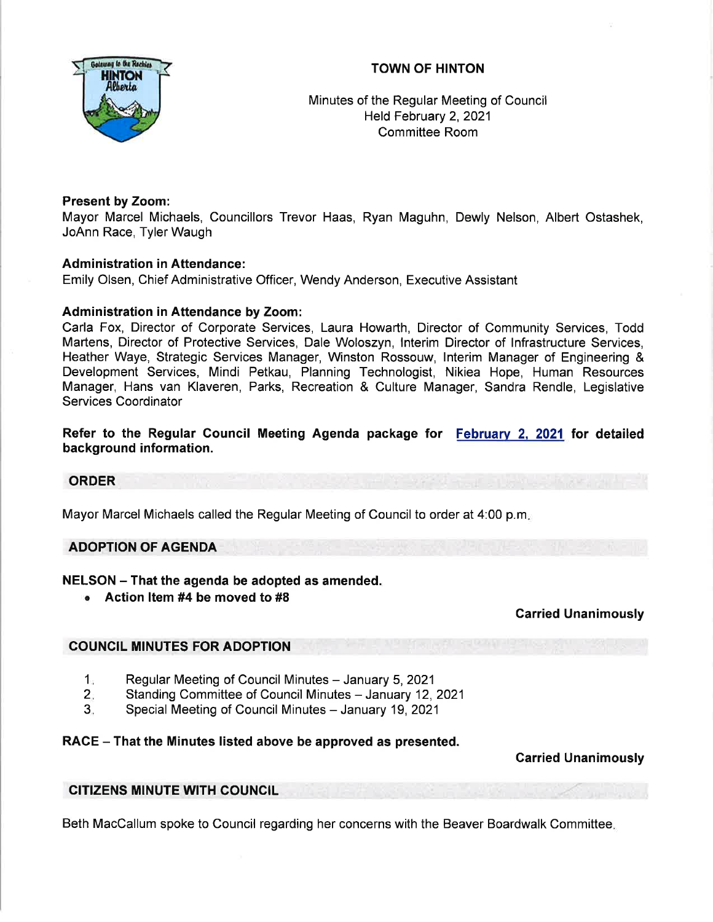# TOWN OF HINTON



Minutes of the Regular Meeting of Council Held February 2, 2021 Committee Room

# Present by Zoom:

Mayor Marcel Michaels, Councillors Trevor Haas, Ryan Maguhn, Dewly Nelson, Albert Ostashek, JoAnn Race, Tyler Waugh

# Administration in Attendance:

Emily Olsen, Chief Administrative Officer, Wendy Anderson, Executive Assistant

# Administration in Attendance by Zoom:

Carla Fox, Director of Corporate Services, Laura Howarth, Director of Community Services, Todd Martens, Director of Protective Services, Dale Woloszyn, lnterim Director of lnfrastructure Services, Heather Waye, Strategic Services Manager, Winston Rossouw, lnterim Manager of Engineering & Development Services, Mindi Petkau, Planning Technologist, Nikiea Hope, Human Resources Manager, Hans van Klaveren, Parks, Recreation & Culture Manager, Sandra Rendle, Legislative Services Coordinator

### Refer to the Regular Council Meeting Agenda package for <u>February 2, 2021</u> for detailed background information.

#### ORDER

Mayor Marcel Michaels called the Regular Meeting of Council to order at 4:00 p.m

# ADOPTION OF AGENDA

# NELSON - That the agenda be adopted as amended.

. Action ltem #4 be moved to #8

#### Garried Unanimously

# COUNCIL MINUTES FOR ADOPTION

- Regular Meeting of Council Minutes January 5, 2021  $1<sub>n</sub>$
- Standing Committee of Council Minutes January 12, 2021 2.
- Special Meeting of Council Minutes January 19, 2021 3.

#### RACE - That the Minutes listed above be approved as presented.

#### Carried Unanimously

#### CITIZENS MINUTE WITH COUNCIL

Beth MacCallum spoke to Council regarding her concerns with the Beaver Boardwalk Committee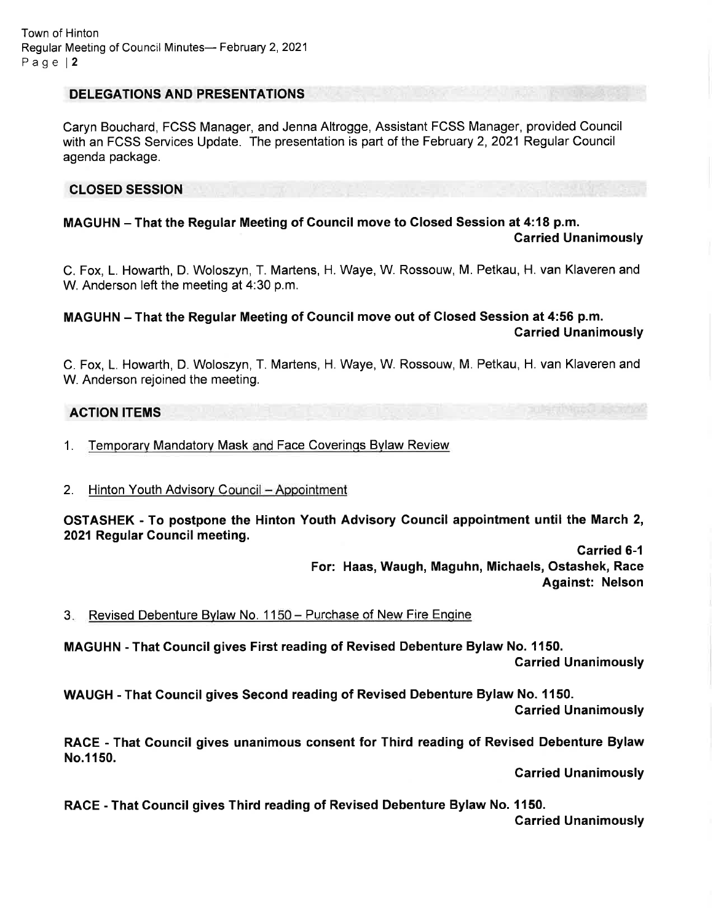Town of Hinton Regular Meeting of Council Minutes- February 2, 2021 Page l2

### DELEGATIONS AND PRESENTATIONS

Caryn Bouchard, FCSS Manager, and Jenna Altrogge, Assistant FCSS Manager, provided Council with an FCSS Services Update. The presentation is part of the February 2, 2021 Regular Council agenda package.

### CLOSED SESSION

MAGUHN - That the Regular Meeting of Council move to Closed Session at 4:18 p.m. Carried Unanimously

C. Fox, L. Howarth, D. Woloszyn, T. Martens, H. Waye, W. Rossouw, M. Petkau, H. van Klaveren and W. Anderson left the meeting at 4:30 p.m.

MAGUHN - That the Regular Meeting of Council move out of Glosed Session at 4:56 p.m. Carried Unanimously

C. Fox, L. Howarth, D. Woloszyn, T. Martens, H. Waye, W. Rossouw, M. Petkau, H. van Klaveren and W. Anderson rejoined the meeting.

### ACTION ITEMS

- 1. Temporary Mandatory Mask and Face Coverings Bylaw Review
- 2. Hinton Youth Advisory Council Appointment

OSTASHEK - To postpone the Hinton Youth Advisory Council appointment until the March 2, 2021 Regular Council meeting.

> Garried 6-1 For: Haas, Waugh, Maguhn, Michaels, Ostashek, Race Against: Nelson

3. Revised Debenture Bylaw No. 1150 - Purchase of New Fire Engine

MAGUHN - That Council gives First reading of Revised Debenture Bylaw No. 1150. Garried Unanimously

WAUGH - That Council gives Second reading of Revised Debenture Bylaw No. 1150. Carried Unanimously

RACE - That Council gives unanimous consent for Third reading of Revised Debenture Bylaw No.1150.

Garried Unanimously

RACE - That Council gives Third reading of Revised Debenture Bylaw No. 1150. Garried Unanimously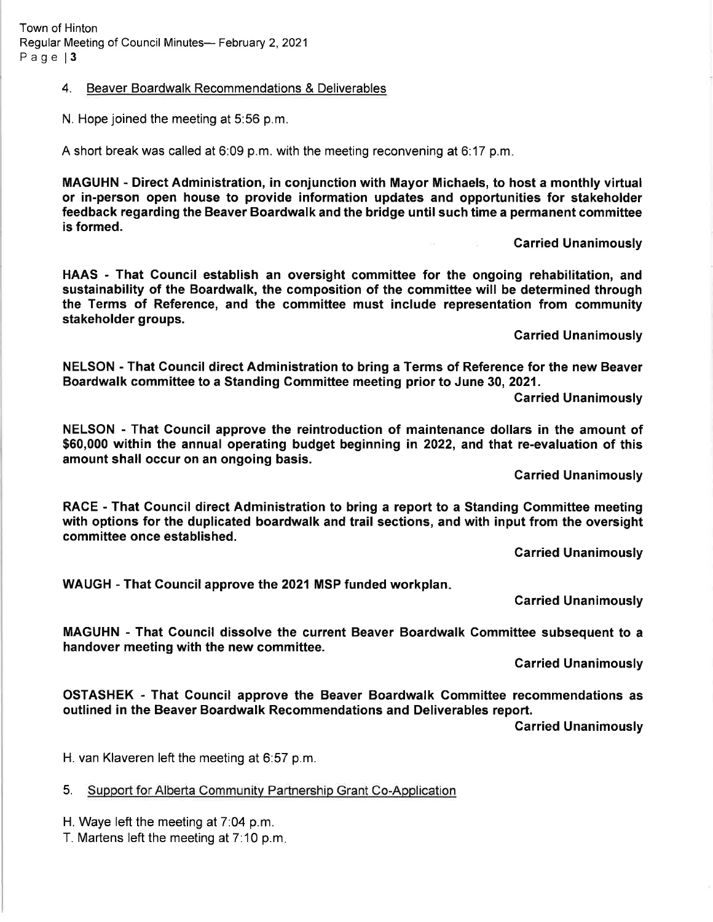### 4. Beaver Boardwalk Recommendations & Deliverables

N. Hope joined the meeting at 5:56 p.m.

A short break was called at 6:09 p.m. with the meeting reconvening at 6:17 p.m

MAGUHN - Direct Administration, in conjunction with Mayor Michaels, to host a monthly virtual or in-person open house to provide information updates and opportunities for stakeholder feedback regarding the Beaver Boardwalk and the bridge until such time a permanent committee is formed.

Carried Unanimously

HAAS - That Council establish an oversight committee for the ongoing rehabilitation, and sustainability of the Boardwalk, the composition of the committee will be determined through the Terms of Reference, and the committee must include representation from community stakeholder groups.

Garried Unanimously

NELSON - That Gouncil direct Administration to bring a Terms of Reference for the new Beaver Boardwalk committee to a Standing Gommittee meeting prior to June 30,2021.

Carried Unanimously

NELSON - That Gouncil approve the reintroduction of maintenance dollars in the amount of \$60,000 within the annual operating budget beginning in 2022, and that re-evaluation of this amount shall occur on an ongoing basis.

Carried Unanimously

RACE - That Gouncil direct Administration to bring a report to a Standing Gommittee meeting with options for the duplicated boardwalk and trail sections, and with input from the oversight committee once established.

Garried Unanimously

WAUGH - That Gouncil approve the 2021 MSP funded workplan

Carried Unanimously

MAGUHN - That Council dissolve the current Beaver Boardwalk Committee subsequent to <sup>a</sup> handover meeting with the new committee.

Garried Unanimously

OSTASHEK - That Council approve the Beaver Boardwalk Committee recommendations as outlined in the Beaver Boardwalk Recommendations and Deliverables report.

Garried Unanimously

H. van Klaveren left the meeting at 6:57 p.m.

5. Support for Alberta Communitv Partnership Grant Co-Application

H. Waye left the meeting at 7:04 p.m.

T. Martens left the meeting at 7:10 p.m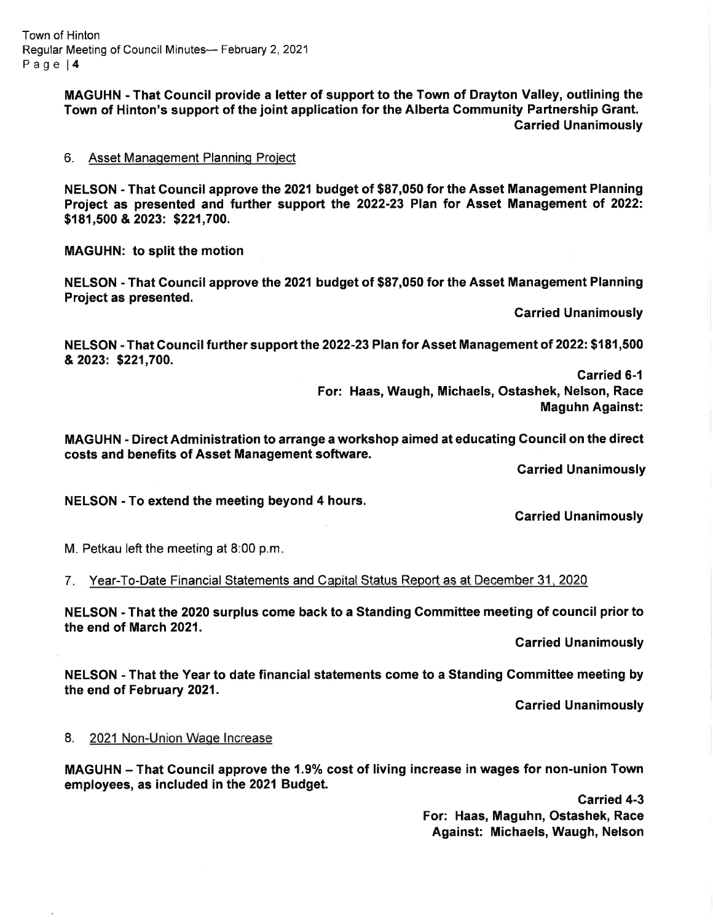Town of Hinton Regular Meeting of Council Minutes- February 2, 2021 Page l4

> MAGUHN - That Council provide a lefter of support to the Town of Drayton Valley, outlining the Town of Hinton's support of the joint application for the Alberta Gommunity Partnership Grant. Carried Unanimously

### 6. Asset Management Planning Project

NELSON - That Gouncil approve the 2021 budget of \$87,050 for the Asset Management Planning Project as presented and further support the 2022-23 Plan for Asset Management of 2022: \$1 81,500 & 2023: \$221,700.

MAGUHN: to split the motion

NELSON - That Council approve the 2021 budget of \$87,050 for the Asset Management Planning Project as presented.

Garried Unanimously

NELSON - That Council further support the 2022-23 Plan for Asset Management of 2022: \$181,500 &2023: \$221,700.

> Garried 6-1 For: Haas, Waugh, Michaels, Ostashek, Nelson, Race Maguhn Against:

MAGUHN - Direct Administration to arrange a workshop aimed at educating Gouncil on the direct costs and benefits of Asset Management software.

Carried Unanimously

NELSON - To extend the meeting beyond 4 hours.

Garried Unanimously

M. Petkau left the meeting at 8:00 p.m

7. Year-To-Date Financial Statements and Capital Status Report as at December 31, 2020

NELSON - That the 2020 surplus come back to a Standing Committee meeting of council prior to the end of March 2021.

Garried Unanimously

NELSON - That the Year to date financial statements come to a Standing Committee meeting by the end of February 2021.

Garried Unanimously

#### 8. 2021 Non-Union Wage Increase

MAGUHN - That Council approve the 1.9% cost of living increase in wages for non-union Town employees, as included in the 2021 Budget.

> Carried 4-3 For: Haas, Maguhn, Ostashek, Race Against: Michaels, Waugh, Nelson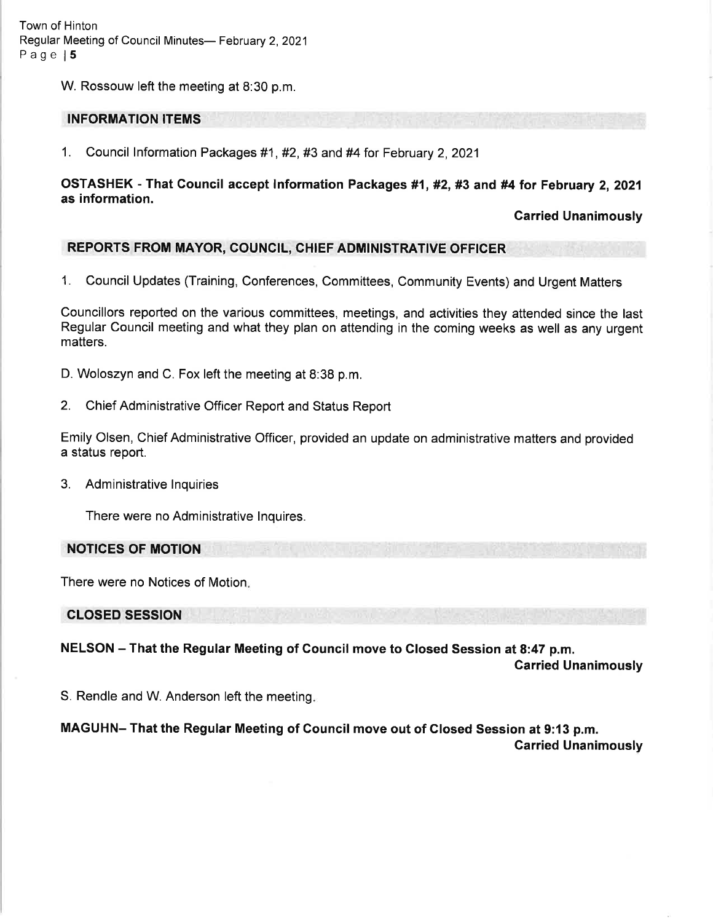Town of Hinton Regular Meeting of Council Minutes- February 2, 2021 Page l5

W. Rossouw left the meeting at 8:30 p.m.

#### INFORMATION ITEMS

1. Council lnformation Packages #1, #2, #3 and #4 for February 2,2021

### OSTASHEK - That Council accept Information Packages #1, #2, #3 and #4 for February 2, 2021 as information.

Garried Unanimously

#### REPORTS FROM MAYOR, COUNCIL, CHIEF ADMINISTRATIVE OFFICER

1. Council Updates (Training, Conferences, Committees, Community Events) and Urgent Matters

Councillors reported on the various committees, meetings, and activities they attended since the last Regular Council meeting and what they plan on attending in the coming weeks as well as any urgent matters.

D. Woloszyn and C. Fox left the meeting at 8:38 p.m.

2. Chief Administrative Officer Report and Status Report

Emily Olsen, Chief Administrative Officer, provided an update on administrative matters and provided a status report.

3. Administrative lnquiries

There were no Administrative lnquires.

NOTICES OF MOTION

There were no Notices of Motion

CLOSED SESSION

NELSON - That the Regular Meeting of Council move to Closed Session at 8:47 p.m. Garried Unanimously

S. Rendle and W. Anderson left the meeting

MAGUHN- That the Regular Meeting of Council move out of Closed Session at 9:13 p.m. Carried Unanimously